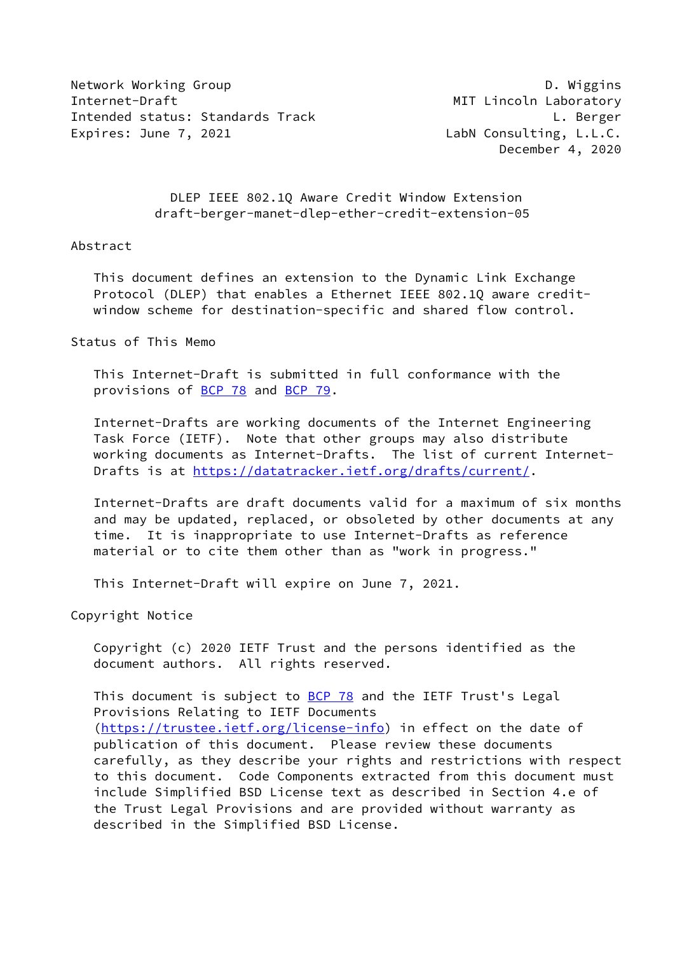Network Working Group **D. Wiggins** Internet-Draft MIT Lincoln Laboratory Intended status: Standards Track L. Berger Expires: June 7, 2021 **LabN** Consulting, L.L.C.

December 4, 2020

 DLEP IEEE 802.1Q Aware Credit Window Extension draft-berger-manet-dlep-ether-credit-extension-05

#### Abstract

 This document defines an extension to the Dynamic Link Exchange Protocol (DLEP) that enables a Ethernet IEEE 802.1Q aware credit window scheme for destination-specific and shared flow control.

Status of This Memo

 This Internet-Draft is submitted in full conformance with the provisions of [BCP 78](https://datatracker.ietf.org/doc/pdf/bcp78) and [BCP 79](https://datatracker.ietf.org/doc/pdf/bcp79).

 Internet-Drafts are working documents of the Internet Engineering Task Force (IETF). Note that other groups may also distribute working documents as Internet-Drafts. The list of current Internet Drafts is at<https://datatracker.ietf.org/drafts/current/>.

 Internet-Drafts are draft documents valid for a maximum of six months and may be updated, replaced, or obsoleted by other documents at any time. It is inappropriate to use Internet-Drafts as reference material or to cite them other than as "work in progress."

This Internet-Draft will expire on June 7, 2021.

Copyright Notice

 Copyright (c) 2020 IETF Trust and the persons identified as the document authors. All rights reserved.

This document is subject to **[BCP 78](https://datatracker.ietf.org/doc/pdf/bcp78)** and the IETF Trust's Legal Provisions Relating to IETF Documents [\(https://trustee.ietf.org/license-info](https://trustee.ietf.org/license-info)) in effect on the date of publication of this document. Please review these documents carefully, as they describe your rights and restrictions with respect to this document. Code Components extracted from this document must include Simplified BSD License text as described in Section 4.e of the Trust Legal Provisions and are provided without warranty as described in the Simplified BSD License.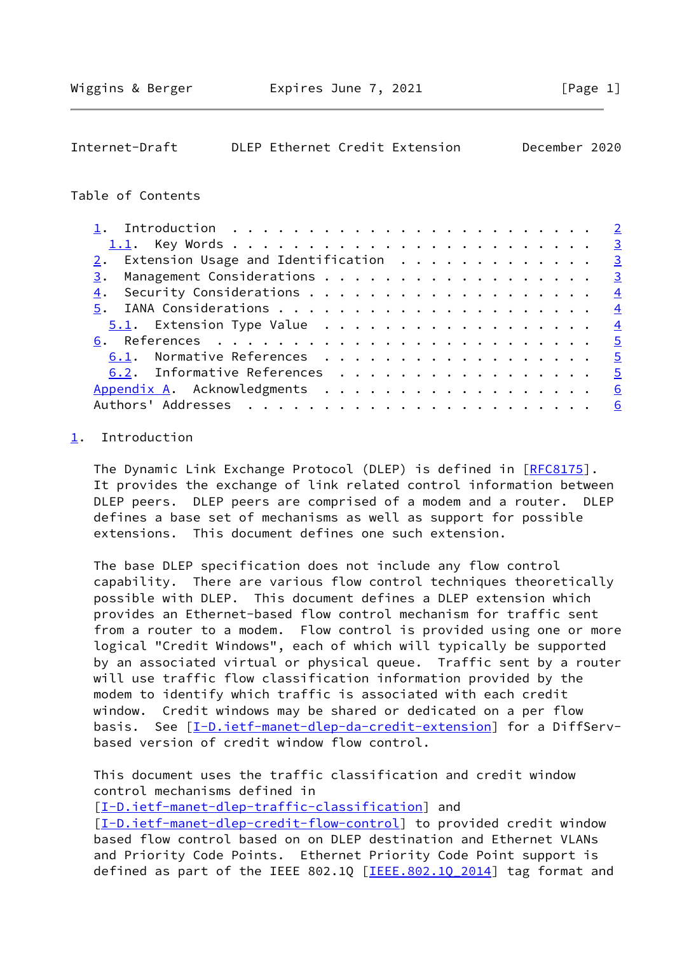<span id="page-1-1"></span>

| December 2020<br>DLEP Ethernet Credit Extension<br>Internet-Draft |  |  |  |  |  |  |  |
|-------------------------------------------------------------------|--|--|--|--|--|--|--|
|-------------------------------------------------------------------|--|--|--|--|--|--|--|

### Table of Contents

|    | 2. Extension Usage and Identification 3 |  |  |  |  |  |  |  |  |  |  |   |
|----|-----------------------------------------|--|--|--|--|--|--|--|--|--|--|---|
| 3. | Management Considerations 3             |  |  |  |  |  |  |  |  |  |  |   |
| 4. |                                         |  |  |  |  |  |  |  |  |  |  |   |
|    |                                         |  |  |  |  |  |  |  |  |  |  |   |
|    |                                         |  |  |  |  |  |  |  |  |  |  |   |
|    |                                         |  |  |  |  |  |  |  |  |  |  |   |
|    | 6.1. Normative References 5             |  |  |  |  |  |  |  |  |  |  |   |
|    | 6.2. Informative References 5           |  |  |  |  |  |  |  |  |  |  |   |
|    | Appendix A. Acknowledgments 6           |  |  |  |  |  |  |  |  |  |  |   |
|    |                                         |  |  |  |  |  |  |  |  |  |  | 6 |

## <span id="page-1-0"></span>[1](#page-1-0). Introduction

The Dynamic Link Exchange Protocol (DLEP) is defined in [\[RFC8175](https://datatracker.ietf.org/doc/pdf/rfc8175)]. It provides the exchange of link related control information between DLEP peers. DLEP peers are comprised of a modem and a router. DLEP defines a base set of mechanisms as well as support for possible extensions. This document defines one such extension.

 The base DLEP specification does not include any flow control capability. There are various flow control techniques theoretically possible with DLEP. This document defines a DLEP extension which provides an Ethernet-based flow control mechanism for traffic sent from a router to a modem. Flow control is provided using one or more logical "Credit Windows", each of which will typically be supported by an associated virtual or physical queue. Traffic sent by a router will use traffic flow classification information provided by the modem to identify which traffic is associated with each credit window. Credit windows may be shared or dedicated on a per flow basis. See [\[I-D.ietf-manet-dlep-da-credit-extension](#page-5-3)] for a DiffServbased version of credit window flow control.

 This document uses the traffic classification and credit window control mechanisms defined in

[\[I-D.ietf-manet-dlep-traffic-classification\]](#page-4-5) and [\[I-D.ietf-manet-dlep-credit-flow-control](#page-4-6)] to provided credit window based flow control based on on DLEP destination and Ethernet VLANs and Priority Code Points. Ethernet Priority Code Point support is defined as part of the IEEE 802.1Q [IEEE.802.10 2014] tag format and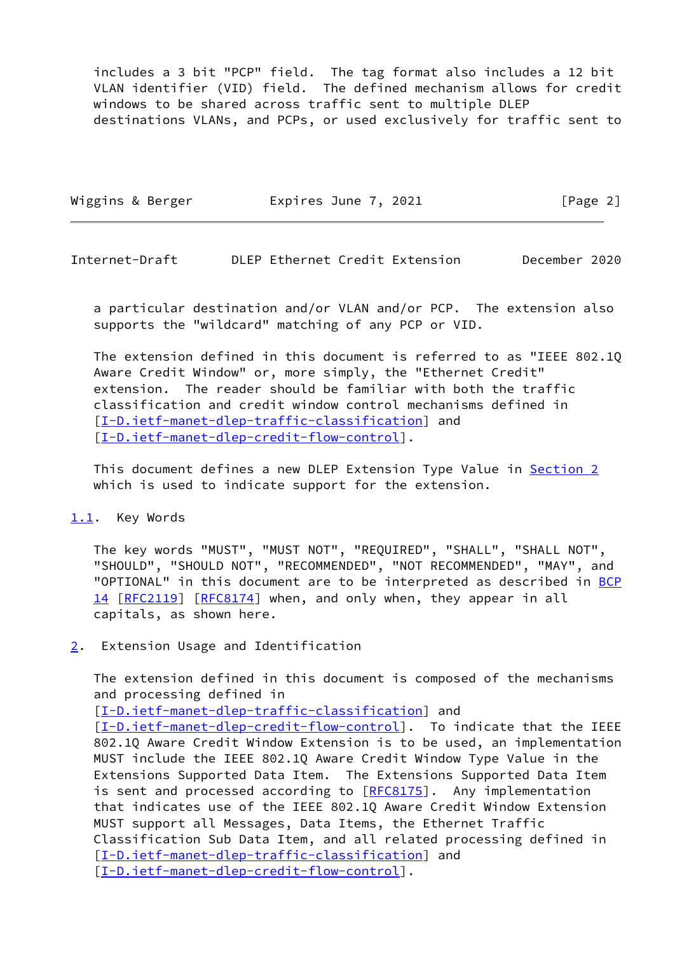includes a 3 bit "PCP" field. The tag format also includes a 12 bit VLAN identifier (VID) field. The defined mechanism allows for credit windows to be shared across traffic sent to multiple DLEP destinations VLANs, and PCPs, or used exclusively for traffic sent to

| Wiggins & Berger | Expires June 7, 2021 | [Page 2] |
|------------------|----------------------|----------|
|                  |                      |          |

<span id="page-2-1"></span>Internet-Draft DLEP Ethernet Credit Extension December 2020

 a particular destination and/or VLAN and/or PCP. The extension also supports the "wildcard" matching of any PCP or VID.

 The extension defined in this document is referred to as "IEEE 802.1Q Aware Credit Window" or, more simply, the "Ethernet Credit" extension. The reader should be familiar with both the traffic classification and credit window control mechanisms defined in [\[I-D.ietf-manet-dlep-traffic-classification\]](#page-4-5) and [\[I-D.ietf-manet-dlep-credit-flow-control](#page-4-6)].

This document defines a new DLEP Extension Type Value in [Section 2](#page-2-2) which is used to indicate support for the extension.

#### <span id="page-2-0"></span>[1.1](#page-2-0). Key Words

 The key words "MUST", "MUST NOT", "REQUIRED", "SHALL", "SHALL NOT", "SHOULD", "SHOULD NOT", "RECOMMENDED", "NOT RECOMMENDED", "MAY", and "OPTIONAL" in this document are to be interpreted as described in [BCP](https://datatracker.ietf.org/doc/pdf/bcp14) [14](https://datatracker.ietf.org/doc/pdf/bcp14) [[RFC2119\]](https://datatracker.ietf.org/doc/pdf/rfc2119) [\[RFC8174](https://datatracker.ietf.org/doc/pdf/rfc8174)] when, and only when, they appear in all capitals, as shown here.

<span id="page-2-2"></span>[2](#page-2-2). Extension Usage and Identification

 The extension defined in this document is composed of the mechanisms and processing defined in

[\[I-D.ietf-manet-dlep-traffic-classification\]](#page-4-5) and

[\[I-D.ietf-manet-dlep-credit-flow-control](#page-4-6)]. To indicate that the IEEE 802.1Q Aware Credit Window Extension is to be used, an implementation MUST include the IEEE 802.1Q Aware Credit Window Type Value in the Extensions Supported Data Item. The Extensions Supported Data Item is sent and processed according to [[RFC8175\]](https://datatracker.ietf.org/doc/pdf/rfc8175). Any implementation that indicates use of the IEEE 802.1Q Aware Credit Window Extension MUST support all Messages, Data Items, the Ethernet Traffic Classification Sub Data Item, and all related processing defined in [\[I-D.ietf-manet-dlep-traffic-classification\]](#page-4-5) and [\[I-D.ietf-manet-dlep-credit-flow-control](#page-4-6)].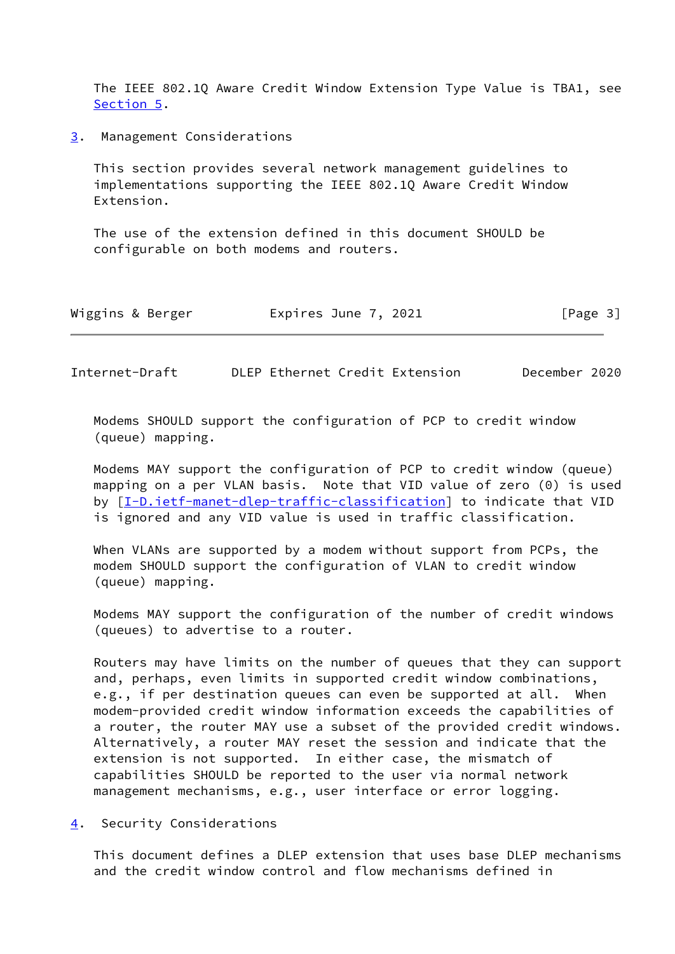The IEEE 802.1Q Aware Credit Window Extension Type Value is TBA1, see [Section 5](#page-4-0).

<span id="page-3-0"></span>[3](#page-3-0). Management Considerations

 This section provides several network management guidelines to implementations supporting the IEEE 802.1Q Aware Credit Window Extension.

 The use of the extension defined in this document SHOULD be configurable on both modems and routers.

| Wiggins & Berger | Expires June 7, 2021 | [Page 3] |
|------------------|----------------------|----------|
|------------------|----------------------|----------|

<span id="page-3-2"></span>Internet-Draft DLEP Ethernet Credit Extension December 2020

 Modems SHOULD support the configuration of PCP to credit window (queue) mapping.

 Modems MAY support the configuration of PCP to credit window (queue) mapping on a per VLAN basis. Note that VID value of zero (0) is used by [[I-D.ietf-manet-dlep-traffic-classification\]](#page-4-5) to indicate that VID is ignored and any VID value is used in traffic classification.

 When VLANs are supported by a modem without support from PCPs, the modem SHOULD support the configuration of VLAN to credit window (queue) mapping.

 Modems MAY support the configuration of the number of credit windows (queues) to advertise to a router.

 Routers may have limits on the number of queues that they can support and, perhaps, even limits in supported credit window combinations, e.g., if per destination queues can even be supported at all. When modem-provided credit window information exceeds the capabilities of a router, the router MAY use a subset of the provided credit windows. Alternatively, a router MAY reset the session and indicate that the extension is not supported. In either case, the mismatch of capabilities SHOULD be reported to the user via normal network management mechanisms, e.g., user interface or error logging.

<span id="page-3-1"></span>[4](#page-3-1). Security Considerations

 This document defines a DLEP extension that uses base DLEP mechanisms and the credit window control and flow mechanisms defined in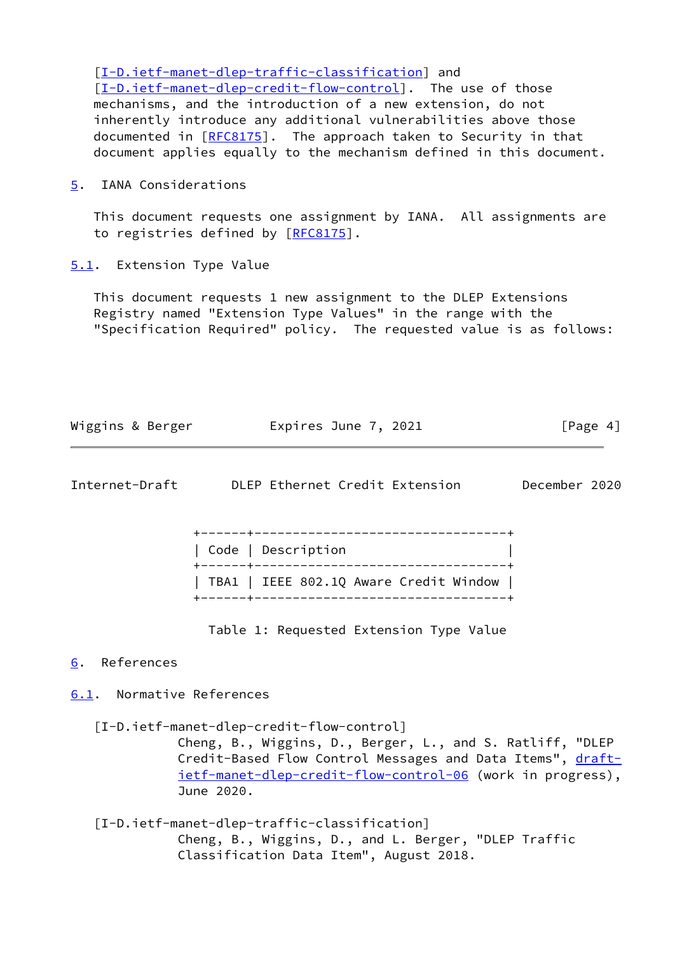[\[I-D.ietf-manet-dlep-traffic-classification\]](#page-4-5) and [\[I-D.ietf-manet-dlep-credit-flow-control](#page-4-6)]. The use of those mechanisms, and the introduction of a new extension, do not inherently introduce any additional vulnerabilities above those documented in [[RFC8175](https://datatracker.ietf.org/doc/pdf/rfc8175)]. The approach taken to Security in that document applies equally to the mechanism defined in this document.

<span id="page-4-0"></span>[5](#page-4-0). IANA Considerations

 This document requests one assignment by IANA. All assignments are to registries defined by [\[RFC8175](https://datatracker.ietf.org/doc/pdf/rfc8175)].

<span id="page-4-1"></span>[5.1](#page-4-1). Extension Type Value

 This document requests 1 new assignment to the DLEP Extensions Registry named "Extension Type Values" in the range with the "Specification Required" policy. The requested value is as follows:

| Wiggins & Berger | Expires June 7, 2021 | [Page 4] |
|------------------|----------------------|----------|
|                  |                      |          |

<span id="page-4-3"></span>

| DLEP Ethernet Credit Extension<br>Internet-Draft | December 2020 |  |
|--------------------------------------------------|---------------|--|
|--------------------------------------------------|---------------|--|

| Code   Description |  |  |                                        |  |
|--------------------|--|--|----------------------------------------|--|
|                    |  |  | TBA1   IEEE 802.1Q Aware Credit Window |  |

Table 1: Requested Extension Type Value

## <span id="page-4-2"></span>[6](#page-4-2). References

# <span id="page-4-4"></span>[6.1](#page-4-4). Normative References

<span id="page-4-6"></span>[I-D.ietf-manet-dlep-credit-flow-control]

 Cheng, B., Wiggins, D., Berger, L., and S. Ratliff, "DLEP Credit-Based Flow Control Messages and Data Items", [draft](https://datatracker.ietf.org/doc/pdf/draft-ietf-manet-dlep-credit-flow-control-06) [ietf-manet-dlep-credit-flow-control-06](https://datatracker.ietf.org/doc/pdf/draft-ietf-manet-dlep-credit-flow-control-06) (work in progress), June 2020.

<span id="page-4-5"></span> [I-D.ietf-manet-dlep-traffic-classification] Cheng, B., Wiggins, D., and L. Berger, "DLEP Traffic Classification Data Item", August 2018.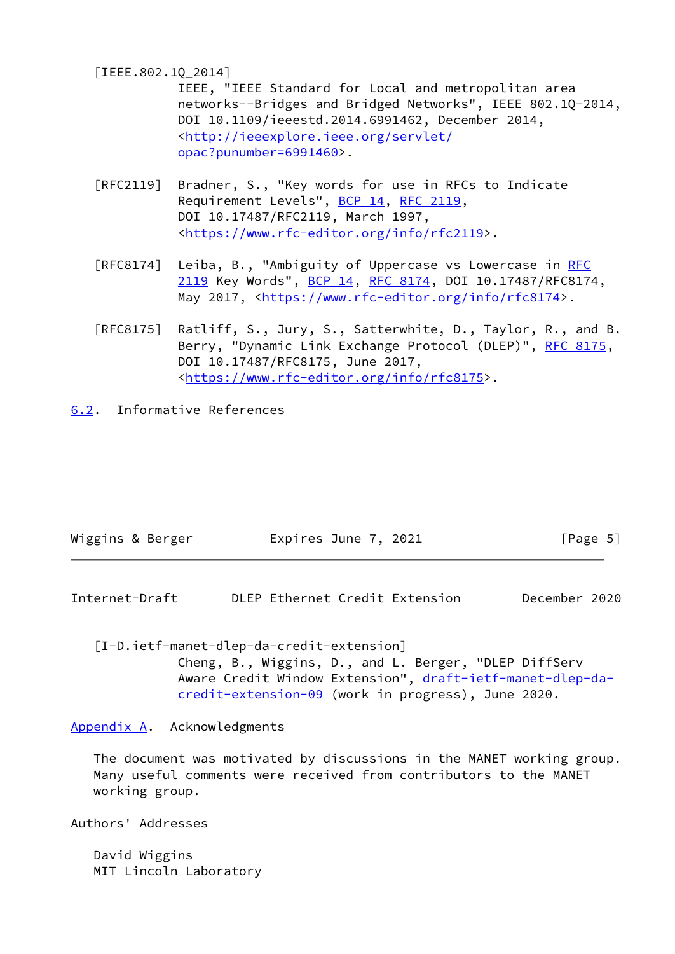<span id="page-5-4"></span>[IEEE.802.1Q\_2014]

 IEEE, "IEEE Standard for Local and metropolitan area networks--Bridges and Bridged Networks", IEEE 802.1Q-2014, DOI 10.1109/ieeestd.2014.6991462, December 2014, <[http://ieeexplore.ieee.org/servlet/](http://ieeexplore.ieee.org/servlet/opac?punumber=6991460) [opac?punumber=6991460>](http://ieeexplore.ieee.org/servlet/opac?punumber=6991460).

- [RFC2119] Bradner, S., "Key words for use in RFCs to Indicate Requirement Levels", [BCP 14](https://datatracker.ietf.org/doc/pdf/bcp14), [RFC 2119](https://datatracker.ietf.org/doc/pdf/rfc2119), DOI 10.17487/RFC2119, March 1997, <[https://www.rfc-editor.org/info/rfc2119>](https://www.rfc-editor.org/info/rfc2119).
- [RFC8174] Leiba, B., "Ambiguity of Uppercase vs Lowercase in [RFC](https://datatracker.ietf.org/doc/pdf/rfc2119) [2119](https://datatracker.ietf.org/doc/pdf/rfc2119) Key Words", [BCP 14](https://datatracker.ietf.org/doc/pdf/bcp14), [RFC 8174,](https://datatracker.ietf.org/doc/pdf/rfc8174) DOI 10.17487/RFC8174, May 2017, [<https://www.rfc-editor.org/info/rfc8174](https://www.rfc-editor.org/info/rfc8174)>.
- [RFC8175] Ratliff, S., Jury, S., Satterwhite, D., Taylor, R., and B. Berry, "Dynamic Link Exchange Protocol (DLEP)", [RFC 8175,](https://datatracker.ietf.org/doc/pdf/rfc8175) DOI 10.17487/RFC8175, June 2017, <[https://www.rfc-editor.org/info/rfc8175>](https://www.rfc-editor.org/info/rfc8175).
- <span id="page-5-0"></span>[6.2](#page-5-0). Informative References

| Wiggins & Berger | Expires June 7, 2021 | [Page 5] |
|------------------|----------------------|----------|
|                  |                      |          |

<span id="page-5-2"></span>Internet-Draft DLEP Ethernet Credit Extension December 2020

<span id="page-5-3"></span>[I-D.ietf-manet-dlep-da-credit-extension]

 Cheng, B., Wiggins, D., and L. Berger, "DLEP DiffServ Aware Credit Window Extension", [draft-ietf-manet-dlep-da](https://datatracker.ietf.org/doc/pdf/draft-ietf-manet-dlep-da-credit-extension-09) [credit-extension-09](https://datatracker.ietf.org/doc/pdf/draft-ietf-manet-dlep-da-credit-extension-09) (work in progress), June 2020.

<span id="page-5-1"></span>[Appendix A.](#page-5-1) Acknowledgments

 The document was motivated by discussions in the MANET working group. Many useful comments were received from contributors to the MANET working group.

Authors' Addresses

 David Wiggins MIT Lincoln Laboratory